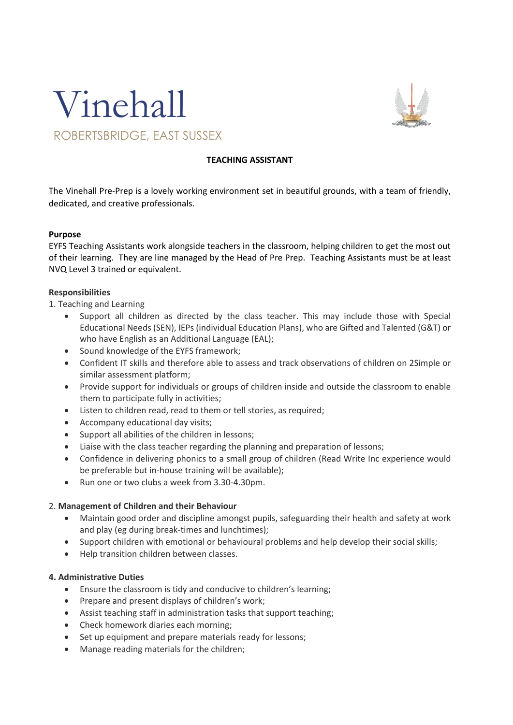



## **TEACHING ASSISTANT**

The Vinehall Pre-Prep is a lovely working environment set in beautiful grounds, with a team of friendly, dedicated, and creative professionals.

## **Purpose**

EYFS Teaching Assistants work alongside teachers in the classroom, helping children to get the most out of their learning. They are line managed by the Head of Pre Prep. Teaching Assistants must be at least NVQ Level 3 trained or equivalent.

## **Responsibilities**

1. Teaching and Learning

- Support all children as directed by the class teacher. This may include those with Special Educational Needs (SEN), IEPs (individual Education Plans), who are Gifted and Talented (G&T) or who have English as an Additional Language (EAL);
- Sound knowledge of the EYFS framework;
- Confident IT skills and therefore able to assess and track observations of children on 2Simple or similar assessment platform;
- Provide support for individuals or groups of children inside and outside the classroom to enable them to participate fully in activities;
- Listen to children read, read to them or tell stories, as required;
- Accompany educational day visits;
- Support all abilities of the children in lessons;
- Liaise with the class teacher regarding the planning and preparation of lessons;
- Confidence in delivering phonics to a small group of children (Read Write Inc experience would be preferable but in-house training will be available);
- Run one or two clubs a week from 3.30-4.30pm.

# 2. **Management of Children and their Behaviour**

- Maintain good order and discipline amongst pupils, safeguarding their health and safety at work and play (eg during break-times and lunchtimes);
- Support children with emotional or behavioural problems and help develop their social skills;
- Help transition children between classes.

# **4. Administrative Duties**

- Ensure the classroom is tidy and conducive to children's learning;
- Prepare and present displays of children's work;
- Assist teaching staff in administration tasks that support teaching;
- Check homework diaries each morning;
- Set up equipment and prepare materials ready for lessons;
- Manage reading materials for the children;